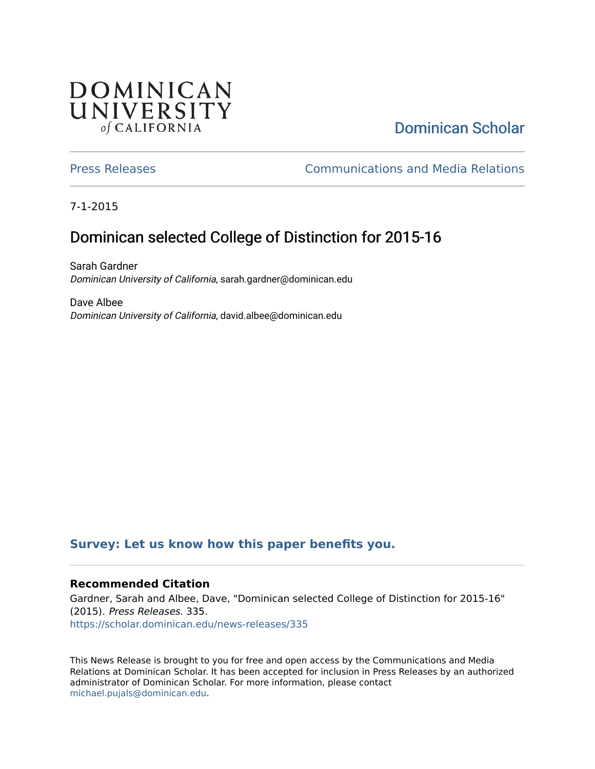## **DOMINICAN** UNIVERSITY of CALIFORNIA

# [Dominican Scholar](https://scholar.dominican.edu/)

[Press Releases](https://scholar.dominican.edu/news-releases) [Communications and Media Relations](https://scholar.dominican.edu/communications-media) 

7-1-2015

# Dominican selected College of Distinction for 2015-16

Sarah Gardner Dominican University of California, sarah.gardner@dominican.edu

Dave Albee Dominican University of California, david.albee@dominican.edu

#### **[Survey: Let us know how this paper benefits you.](https://dominican.libwizard.com/dominican-scholar-feedback)**

#### **Recommended Citation**

Gardner, Sarah and Albee, Dave, "Dominican selected College of Distinction for 2015-16" (2015). Press Releases. 335. [https://scholar.dominican.edu/news-releases/335](https://scholar.dominican.edu/news-releases/335?utm_source=scholar.dominican.edu%2Fnews-releases%2F335&utm_medium=PDF&utm_campaign=PDFCoverPages)

This News Release is brought to you for free and open access by the Communications and Media Relations at Dominican Scholar. It has been accepted for inclusion in Press Releases by an authorized administrator of Dominican Scholar. For more information, please contact [michael.pujals@dominican.edu.](mailto:michael.pujals@dominican.edu)